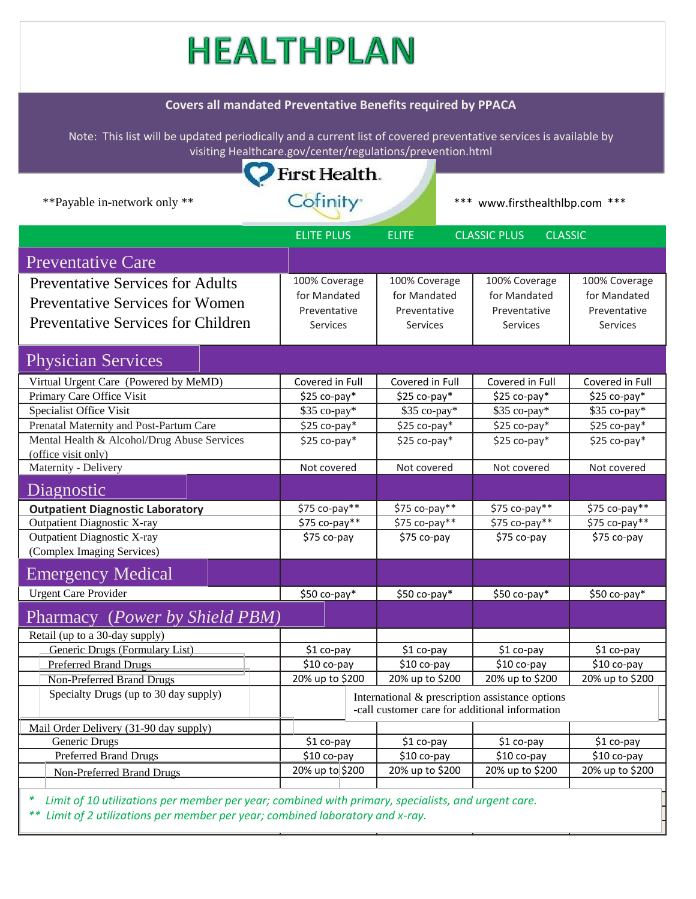## HEALTHPLAN

## **Covers all mandated Preventative Benefits required by PPACA**

Note: This list will be updated periodically and a current list of covered preventative services is available by visiting Healthcare.gov/center/regulations/prevention.html

| visiting Healthcare.gov/center/regulations/prevention.html       |                                                                                                   |                                                       |                                |                 |  |  |  |  |
|------------------------------------------------------------------|---------------------------------------------------------------------------------------------------|-------------------------------------------------------|--------------------------------|-----------------|--|--|--|--|
| First Health.                                                    |                                                                                                   |                                                       |                                |                 |  |  |  |  |
|                                                                  | Cofinity <sup>®</sup>                                                                             |                                                       |                                |                 |  |  |  |  |
| **Payable in-network only **                                     |                                                                                                   |                                                       | *** www.firsthealthlbp.com *** |                 |  |  |  |  |
|                                                                  | <b>ELITE PLUS</b>                                                                                 | <b>ELITE</b><br><b>CLASSIC PLUS</b><br><b>CLASSIC</b> |                                |                 |  |  |  |  |
| <b>Preventative Care</b>                                         |                                                                                                   |                                                       |                                |                 |  |  |  |  |
| <b>Preventative Services for Adults</b>                          | 100% Coverage                                                                                     | 100% Coverage                                         | 100% Coverage                  | 100% Coverage   |  |  |  |  |
|                                                                  | for Mandated                                                                                      | for Mandated                                          | for Mandated                   | for Mandated    |  |  |  |  |
| <b>Preventative Services for Women</b>                           | Preventative                                                                                      | Preventative                                          | Preventative                   | Preventative    |  |  |  |  |
| <b>Preventative Services for Children</b>                        | <b>Services</b>                                                                                   | <b>Services</b>                                       | <b>Services</b>                | <b>Services</b> |  |  |  |  |
|                                                                  |                                                                                                   |                                                       |                                |                 |  |  |  |  |
| <b>Physician Services</b>                                        |                                                                                                   |                                                       |                                |                 |  |  |  |  |
| Virtual Urgent Care (Powered by MeMD)                            | Covered in Full                                                                                   | Covered in Full                                       | Covered in Full                | Covered in Full |  |  |  |  |
| Primary Care Office Visit                                        | \$25 co-pay*                                                                                      | $$25$ co-pay*                                         | $$25$ co-pay*                  | $$25$ co-pay*   |  |  |  |  |
| Specialist Office Visit                                          | \$35 co-pay*                                                                                      | \$35 co-pay*                                          | \$35 co-pay*                   | \$35 co-pay*    |  |  |  |  |
| Prenatal Maternity and Post-Partum Care                          | \$25 co-pay*                                                                                      | $$25$ co-pay*                                         | $$25$ co-pay*                  | \$25 co-pay*    |  |  |  |  |
| Mental Health & Alcohol/Drug Abuse Services                      | $$25$ co-pay*                                                                                     | $$25$ co-pay*                                         | $$25$ co-pay*                  | $$25$ co-pay*   |  |  |  |  |
| (office visit only)                                              |                                                                                                   |                                                       |                                |                 |  |  |  |  |
| Maternity - Delivery                                             | Not covered                                                                                       | Not covered                                           | Not covered                    | Not covered     |  |  |  |  |
| Diagnostic                                                       |                                                                                                   |                                                       |                                |                 |  |  |  |  |
| <b>Outpatient Diagnostic Laboratory</b>                          | \$75 co-pay**                                                                                     | \$75 co-pay**                                         | \$75 co-pay**                  | \$75 co-pay**   |  |  |  |  |
| <b>Outpatient Diagnostic X-ray</b>                               | \$75 co-pay**                                                                                     | \$75 co-pay**                                         | \$75 co-pay**                  | \$75 co-pay**   |  |  |  |  |
| <b>Outpatient Diagnostic X-ray</b><br>(Complex Imaging Services) | \$75 co-pay                                                                                       | \$75 co-pay                                           | \$75 co-pay                    | \$75 co-pay     |  |  |  |  |
| <b>Emergency Medical</b>                                         |                                                                                                   |                                                       |                                |                 |  |  |  |  |
| <b>Urgent Care Provider</b>                                      | \$50 co-pay*                                                                                      | $$50$ co-pay*                                         | $$50$ co-pay*                  | $$50$ co-pay*   |  |  |  |  |
| Pharmacy ( <i>Power by Shield PBM</i> )                          |                                                                                                   |                                                       |                                |                 |  |  |  |  |
| Retail (up to a 30-day supply)                                   |                                                                                                   |                                                       |                                |                 |  |  |  |  |
| Generic Drugs (Formulary List)                                   | \$1 co-pay                                                                                        | \$1 co-pay                                            | \$1 co-pay                     | \$1 co-pay      |  |  |  |  |
| <b>Preferred Brand Drugs</b>                                     | \$10 co-pay                                                                                       | \$10 co-pay                                           | \$10 co-pay                    | \$10 co-pay     |  |  |  |  |
| Non-Preferred Brand Drugs                                        | 20% up to \$200                                                                                   | 20% up to \$200                                       | 20% up to \$200                | 20% up to \$200 |  |  |  |  |
| Specialty Drugs (up to 30 day supply)                            |                                                                                                   |                                                       |                                |                 |  |  |  |  |
|                                                                  | International & prescription assistance options<br>-call customer care for additional information |                                                       |                                |                 |  |  |  |  |
| Mail Order Delivery (31-90 day supply)                           |                                                                                                   |                                                       |                                |                 |  |  |  |  |
| Generic Drugs                                                    | \$1 co-pay                                                                                        | \$1 co-pay                                            | \$1 co-pay                     | \$1 co-pay      |  |  |  |  |
| <b>Preferred Brand Drugs</b>                                     | \$10 co-pay                                                                                       | \$10 co-pay                                           | \$10 co-pay                    | \$10 co-pay     |  |  |  |  |
| <b>Non-Preferred Brand Drugs</b>                                 | 20% up to \$200                                                                                   | 20% up to \$200                                       | 20% up to \$200                | 20% up to \$200 |  |  |  |  |
|                                                                  |                                                                                                   |                                                       |                                |                 |  |  |  |  |

*\* Limit of 10 utilizations per member per year; combined with primary, specialists, and urgent care. \*\* Limit of 2 utilizations per member per year; combined laboratory and x-ray.*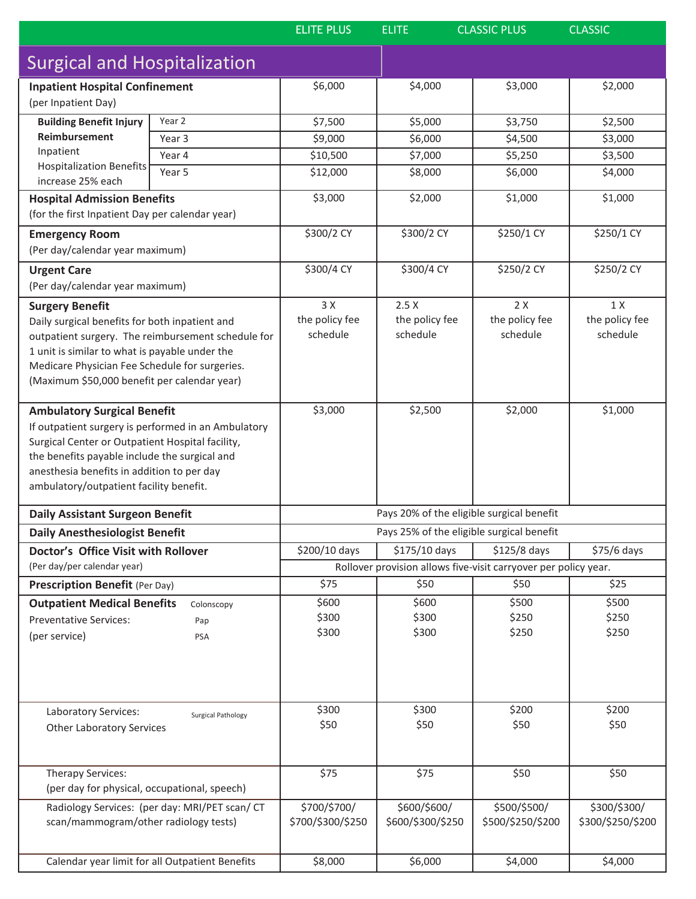|                                                                                                                      |                                                    | <b>ELITE PLUS</b>                                                                                                                | <b>CLASSIC PLUS</b><br><b>ELITE</b> |                   | <b>CLASSIC</b>    |  |  |
|----------------------------------------------------------------------------------------------------------------------|----------------------------------------------------|----------------------------------------------------------------------------------------------------------------------------------|-------------------------------------|-------------------|-------------------|--|--|
| <b>Surgical and Hospitalization</b>                                                                                  |                                                    |                                                                                                                                  |                                     |                   |                   |  |  |
| <b>Inpatient Hospital Confinement</b><br>(per Inpatient Day)                                                         |                                                    | \$6,000                                                                                                                          | \$4,000                             | \$3,000           | \$2,000           |  |  |
| <b>Building Benefit Injury</b><br>Reimbursement<br>Inpatient<br><b>Hospitalization Benefits</b><br>increase 25% each | Year 2                                             | \$7,500                                                                                                                          | \$5,000                             | \$3,750           | \$2,500           |  |  |
|                                                                                                                      | Year 3                                             | \$9,000                                                                                                                          | \$6,000                             | \$4,500           | \$3,000           |  |  |
|                                                                                                                      | Year 4                                             | \$10,500                                                                                                                         | \$7,000                             | \$5,250           | \$3,500           |  |  |
|                                                                                                                      | Year 5                                             | \$12,000                                                                                                                         | \$8,000                             | \$6,000           | \$4,000           |  |  |
|                                                                                                                      |                                                    |                                                                                                                                  |                                     |                   |                   |  |  |
| <b>Hospital Admission Benefits</b><br>(for the first Inpatient Day per calendar year)                                |                                                    | \$3,000                                                                                                                          | \$2,000                             | \$1,000           | \$1,000           |  |  |
| <b>Emergency Room</b>                                                                                                |                                                    | \$300/2 CY                                                                                                                       | \$300/2 CY                          | \$250/1 CY        | \$250/1 CY        |  |  |
| (Per day/calendar year maximum)                                                                                      |                                                    |                                                                                                                                  |                                     |                   |                   |  |  |
| <b>Urgent Care</b>                                                                                                   |                                                    | \$300/4 CY                                                                                                                       | \$300/4 CY                          | \$250/2 CY        | \$250/2 CY        |  |  |
| (Per day/calendar year maximum)                                                                                      |                                                    |                                                                                                                                  |                                     |                   |                   |  |  |
| <b>Surgery Benefit</b>                                                                                               |                                                    | 3 X                                                                                                                              | 2.5X                                | 2X                | 1 X               |  |  |
|                                                                                                                      |                                                    | the policy fee                                                                                                                   | the policy fee                      | the policy fee    | the policy fee    |  |  |
| Daily surgical benefits for both inpatient and                                                                       | outpatient surgery. The reimbursement schedule for | schedule                                                                                                                         | schedule                            | schedule          | schedule          |  |  |
| 1 unit is similar to what is payable under the                                                                       |                                                    |                                                                                                                                  |                                     |                   |                   |  |  |
| Medicare Physician Fee Schedule for surgeries.                                                                       |                                                    |                                                                                                                                  |                                     |                   |                   |  |  |
| (Maximum \$50,000 benefit per calendar year)                                                                         |                                                    |                                                                                                                                  |                                     |                   |                   |  |  |
|                                                                                                                      |                                                    |                                                                                                                                  |                                     |                   |                   |  |  |
| <b>Ambulatory Surgical Benefit</b>                                                                                   |                                                    | \$3,000                                                                                                                          | \$2,500                             | \$2,000           | \$1,000           |  |  |
| If outpatient surgery is performed in an Ambulatory                                                                  |                                                    |                                                                                                                                  |                                     |                   |                   |  |  |
| Surgical Center or Outpatient Hospital facility,                                                                     |                                                    |                                                                                                                                  |                                     |                   |                   |  |  |
| the benefits payable include the surgical and                                                                        |                                                    |                                                                                                                                  |                                     |                   |                   |  |  |
| anesthesia benefits in addition to per day                                                                           |                                                    |                                                                                                                                  |                                     |                   |                   |  |  |
| ambulatory/outpatient facility benefit.                                                                              |                                                    |                                                                                                                                  |                                     |                   |                   |  |  |
|                                                                                                                      |                                                    |                                                                                                                                  |                                     |                   |                   |  |  |
| <b>Daily Assistant Surgeon Benefit</b>                                                                               |                                                    | Pays 20% of the eligible surgical benefit                                                                                        |                                     |                   |                   |  |  |
| <b>Daily Anesthesiologist Benefit</b>                                                                                |                                                    | Pays 25% of the eligible surgical benefit                                                                                        |                                     |                   |                   |  |  |
| Doctor's Office Visit with Rollover                                                                                  |                                                    | \$200/10 days<br>\$175/10 days<br>\$125/8 days<br>\$75/6 days<br>Rollover provision allows five-visit carryover per policy year. |                                     |                   |                   |  |  |
| (Per day/per calendar year)                                                                                          |                                                    |                                                                                                                                  |                                     |                   |                   |  |  |
| <b>Prescription Benefit (Per Day)</b>                                                                                |                                                    | \$75                                                                                                                             | \$50                                | \$50              | \$25              |  |  |
| <b>Outpatient Medical Benefits</b>                                                                                   | Colonscopy                                         | \$600                                                                                                                            | \$600                               | \$500             | \$500             |  |  |
| <b>Preventative Services:</b>                                                                                        | Pap                                                | \$300                                                                                                                            | \$300                               | \$250             | \$250             |  |  |
| (per service)                                                                                                        | PSA                                                | \$300                                                                                                                            | \$300                               | \$250             | \$250             |  |  |
|                                                                                                                      |                                                    |                                                                                                                                  |                                     |                   |                   |  |  |
|                                                                                                                      |                                                    |                                                                                                                                  |                                     |                   |                   |  |  |
|                                                                                                                      |                                                    |                                                                                                                                  |                                     |                   |                   |  |  |
|                                                                                                                      |                                                    |                                                                                                                                  |                                     |                   |                   |  |  |
| Laboratory Services:                                                                                                 | <b>Surgical Pathology</b>                          | \$300                                                                                                                            | \$300                               | \$200             | \$200             |  |  |
| <b>Other Laboratory Services</b>                                                                                     |                                                    | \$50                                                                                                                             | \$50                                | \$50              | \$50              |  |  |
|                                                                                                                      |                                                    |                                                                                                                                  |                                     |                   |                   |  |  |
|                                                                                                                      |                                                    |                                                                                                                                  |                                     |                   |                   |  |  |
| Therapy Services:                                                                                                    |                                                    | \$75                                                                                                                             | \$75                                | \$50              | \$50              |  |  |
| (per day for physical, occupational, speech)                                                                         |                                                    |                                                                                                                                  |                                     |                   |                   |  |  |
|                                                                                                                      | Radiology Services: (per day: MRI/PET scan/ CT     | \$700/\$700/                                                                                                                     | \$600/\$600/                        | \$500/\$500/      | \$300/\$300/      |  |  |
| scan/mammogram/other radiology tests)                                                                                |                                                    | \$700/\$300/\$250                                                                                                                | \$600/\$300/\$250                   | \$500/\$250/\$200 | \$300/\$250/\$200 |  |  |
|                                                                                                                      |                                                    |                                                                                                                                  |                                     |                   |                   |  |  |
|                                                                                                                      | Calendar year limit for all Outpatient Benefits    | \$8,000                                                                                                                          | \$6,000                             | \$4,000           | \$4,000           |  |  |